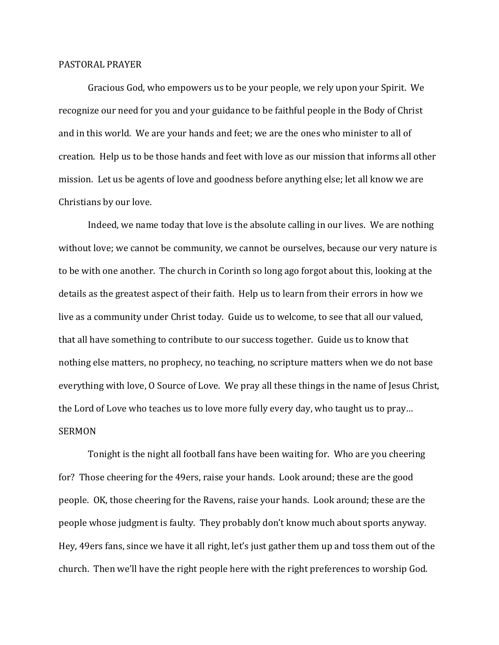## PASTORAL PRAYER

 Gracious God, who empowers us to be your people, we rely upon your Spirit. We recognize our need for you and your guidance to be faithful people in the Body of Christ and in this world. We are your hands and feet; we are the ones who minister to all of creation. Help us to be those hands and feet with love as our mission that informs all other mission. Let us be agents of love and goodness before anything else; let all know we are Christians by our love.

 Indeed, we name today that love is the absolute calling in our lives. We are nothing without love; we cannot be community, we cannot be ourselves, because our very nature is to be with one another. The church in Corinth so long ago forgot about this, looking at the details as the greatest aspect of their faith. Help us to learn from their errors in how we live as a community under Christ today. Guide us to welcome, to see that all our valued, that all have something to contribute to our success together. Guide us to know that nothing else matters, no prophecy, no teaching, no scripture matters when we do not base everything with love, O Source of Love. We pray all these things in the name of Jesus Christ, the Lord of Love who teaches us to love more fully every day, who taught us to pray… SERMON

 Tonight is the night all football fans have been waiting for. Who are you cheering for? Those cheering for the 49ers, raise your hands. Look around; these are the good people. OK, those cheering for the Ravens, raise your hands. Look around; these are the people whose judgment is faulty. They probably don't know much about sports anyway. Hey, 49ers fans, since we have it all right, let's just gather them up and toss them out of the church. Then we'll have the right people here with the right preferences to worship God.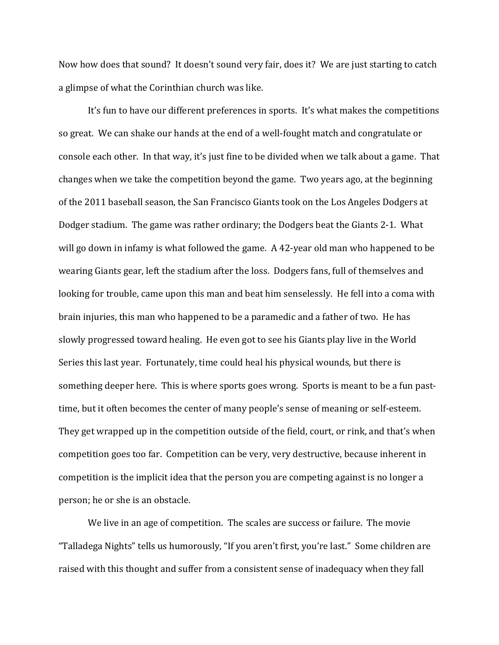Now how does that sound? It doesn't sound very fair, does it? We are just starting to catch a glimpse of what the Corinthian church was like.

 It's fun to have our different preferences in sports. It's what makes the competitions so great. We can shake our hands at the end of a well-fought match and congratulate or console each other. In that way, it's just fine to be divided when we talk about a game. That changes when we take the competition beyond the game. Two years ago, at the beginning of the 2011 baseball season, the San Francisco Giants took on the Los Angeles Dodgers at Dodger stadium. The game was rather ordinary; the Dodgers beat the Giants 2-1. What will go down in infamy is what followed the game. A 42-year old man who happened to be wearing Giants gear, left the stadium after the loss. Dodgers fans, full of themselves and looking for trouble, came upon this man and beat him senselessly. He fell into a coma with brain injuries, this man who happened to be a paramedic and a father of two. He has slowly progressed toward healing. He even got to see his Giants play live in the World Series this last year. Fortunately, time could heal his physical wounds, but there is something deeper here. This is where sports goes wrong. Sports is meant to be a fun pasttime, but it often becomes the center of many people's sense of meaning or self-esteem. They get wrapped up in the competition outside of the field, court, or rink, and that's when competition goes too far. Competition can be very, very destructive, because inherent in competition is the implicit idea that the person you are competing against is no longer a person; he or she is an obstacle.

We live in an age of competition. The scales are success or failure. The movie "Talladega Nights" tells us humorously, "If you aren't first, you're last." Some children are raised with this thought and suffer from a consistent sense of inadequacy when they fall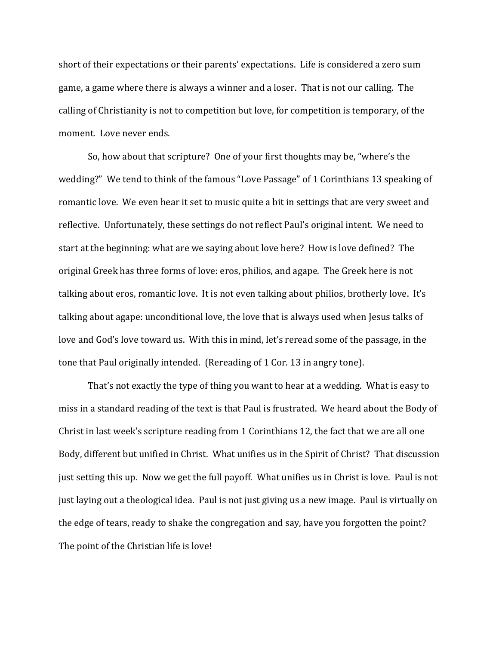short of their expectations or their parents' expectations. Life is considered a zero sum game, a game where there is always a winner and a loser. That is not our calling. The calling of Christianity is not to competition but love, for competition is temporary, of the moment. Love never ends.

 So, how about that scripture? One of your first thoughts may be, "where's the wedding?" We tend to think of the famous "Love Passage" of 1 Corinthians 13 speaking of romantic love. We even hear it set to music quite a bit in settings that are very sweet and reflective. Unfortunately, these settings do not reflect Paul's original intent. We need to start at the beginning: what are we saying about love here? How is love defined? The original Greek has three forms of love: eros, philios, and agape. The Greek here is not talking about eros, romantic love. It is not even talking about philios, brotherly love. It's talking about agape: unconditional love, the love that is always used when Jesus talks of love and God's love toward us. With this in mind, let's reread some of the passage, in the tone that Paul originally intended. (Rereading of 1 Cor. 13 in angry tone).

 That's not exactly the type of thing you want to hear at a wedding. What is easy to miss in a standard reading of the text is that Paul is frustrated. We heard about the Body of Christ in last week's scripture reading from 1 Corinthians 12, the fact that we are all one Body, different but unified in Christ. What unifies us in the Spirit of Christ? That discussion just setting this up. Now we get the full payoff. What unifies us in Christ is love. Paul is not just laying out a theological idea. Paul is not just giving us a new image. Paul is virtually on the edge of tears, ready to shake the congregation and say, have you forgotten the point? The point of the Christian life is love!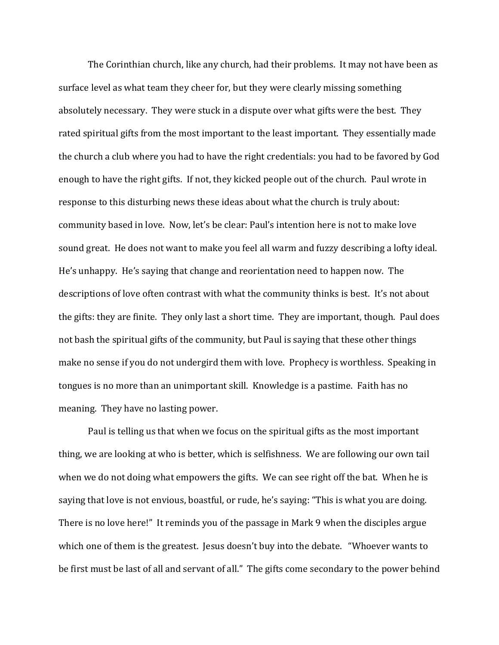The Corinthian church, like any church, had their problems. It may not have been as surface level as what team they cheer for, but they were clearly missing something absolutely necessary. They were stuck in a dispute over what gifts were the best. They rated spiritual gifts from the most important to the least important. They essentially made the church a club where you had to have the right credentials: you had to be favored by God enough to have the right gifts. If not, they kicked people out of the church. Paul wrote in response to this disturbing news these ideas about what the church is truly about: community based in love. Now, let's be clear: Paul's intention here is not to make love sound great. He does not want to make you feel all warm and fuzzy describing a lofty ideal. He's unhappy. He's saying that change and reorientation need to happen now. The descriptions of love often contrast with what the community thinks is best. It's not about the gifts: they are finite. They only last a short time. They are important, though. Paul does not bash the spiritual gifts of the community, but Paul is saying that these other things make no sense if you do not undergird them with love. Prophecy is worthless. Speaking in tongues is no more than an unimportant skill. Knowledge is a pastime. Faith has no meaning. They have no lasting power.

Paul is telling us that when we focus on the spiritual gifts as the most important thing, we are looking at who is better, which is selfishness. We are following our own tail when we do not doing what empowers the gifts. We can see right off the bat. When he is saying that love is not envious, boastful, or rude, he's saying: "This is what you are doing. There is no love here!" It reminds you of the passage in Mark 9 when the disciples argue which one of them is the greatest. Jesus doesn't buy into the debate. "Whoever wants to be first must be last of all and servant of all." The gifts come secondary to the power behind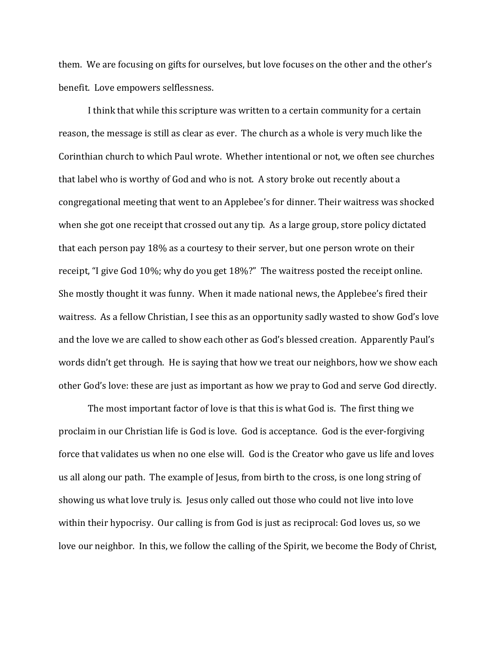them. We are focusing on gifts for ourselves, but love focuses on the other and the other's benefit. Love empowers selflessness.

 I think that while this scripture was written to a certain community for a certain reason, the message is still as clear as ever. The church as a whole is very much like the Corinthian church to which Paul wrote. Whether intentional or not, we often see churches that label who is worthy of God and who is not. A story broke out recently about a congregational meeting that went to an Applebee's for dinner. Their waitress was shocked when she got one receipt that crossed out any tip. As a large group, store policy dictated that each person pay 18% as a courtesy to their server, but one person wrote on their receipt, "I give God 10%; why do you get 18%?" The waitress posted the receipt online. She mostly thought it was funny. When it made national news, the Applebee's fired their waitress. As a fellow Christian, I see this as an opportunity sadly wasted to show God's love and the love we are called to show each other as God's blessed creation. Apparently Paul's words didn't get through. He is saying that how we treat our neighbors, how we show each other God's love: these are just as important as how we pray to God and serve God directly.

 The most important factor of love is that this is what God is. The first thing we proclaim in our Christian life is God is love. God is acceptance. God is the ever-forgiving force that validates us when no one else will. God is the Creator who gave us life and loves us all along our path. The example of Jesus, from birth to the cross, is one long string of showing us what love truly is. Jesus only called out those who could not live into love within their hypocrisy. Our calling is from God is just as reciprocal: God loves us, so we love our neighbor. In this, we follow the calling of the Spirit, we become the Body of Christ,